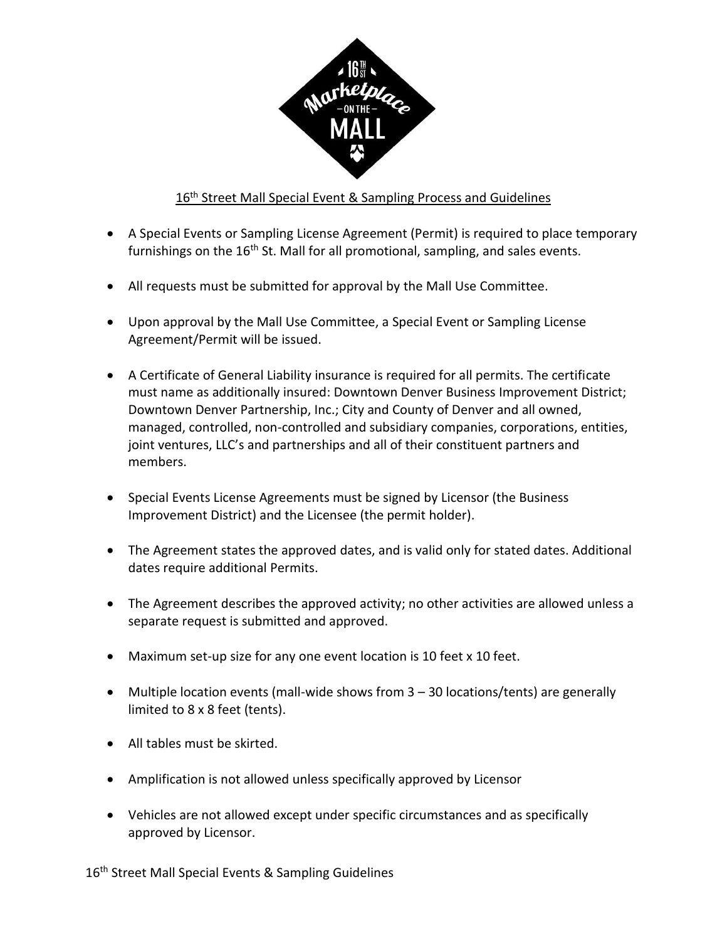

## 16<sup>th</sup> Street Mall Special Event & Sampling Process and Guidelines

- A Special Events or Sampling License Agreement (Permit) is required to place temporary furnishings on the 16<sup>th</sup> St. Mall for all promotional, sampling, and sales events.
- All requests must be submitted for approval by the Mall Use Committee.
- Upon approval by the Mall Use Committee, a Special Event or Sampling License Agreement/Permit will be issued.
- A Certificate of General Liability insurance is required for all permits. The certificate must name as additionally insured: Downtown Denver Business Improvement District; Downtown Denver Partnership, Inc.; City and County of Denver and all owned, managed, controlled, non-controlled and subsidiary companies, corporations, entities, joint ventures, LLC's and partnerships and all of their constituent partners and members.
- Special Events License Agreements must be signed by Licensor (the Business Improvement District) and the Licensee (the permit holder).
- The Agreement states the approved dates, and is valid only for stated dates. Additional dates require additional Permits.
- The Agreement describes the approved activity; no other activities are allowed unless a separate request is submitted and approved.
- Maximum set-up size for any one event location is 10 feet x 10 feet.
- Multiple location events (mall-wide shows from 3 30 locations/tents) are generally limited to 8 x 8 feet (tents).
- All tables must be skirted.
- Amplification is not allowed unless specifically approved by Licensor
- Vehicles are not allowed except under specific circumstances and as specifically approved by Licensor.

16<sup>th</sup> Street Mall Special Events & Sampling Guidelines